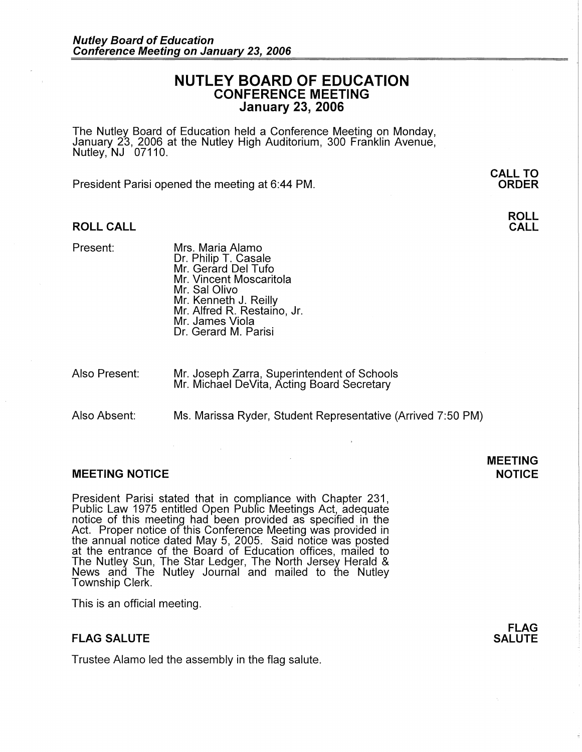## **NUTLEY BOARD OF EDUCATION CONFERENCE MEETING January 23, 2006**

The Nutley Board of Education held a Conference Meeting on Monday, January 23, 2006 at the Nutley High Auditorium, 300 Franklin Avenue, Nutley, NJ 07110.

President Parisi opened the meeting at 6:44 PM.

### **ROLL CALL**

- Present: Mrs. Maria Alamo Dr. Philip T. Casale Mr. Gerard Del Tufo Mr. Vincent Moscaritola Mr. Sal Olivo Mr. Kenneth J. Reilly Mr. Alfred R. Restaino, Jr. Mr. James Viola Dr. Gerard M. Parisi
- Also Present: Mr. Joseph Zarra, Superintendent of Schools Mr. Michael DeVita, Acting Board Secretary

Also Absent: Ms. Marissa Ryder, Student Representative (Arrived 7:50 PM)

#### **MEETING NOTICE NOTICE AND INSTRUCCE**

President Parisi stated that in compliance with Chapter 231, Public Law 1975 entitled Open Pubfic Meetings Act, adequate notice of this meeting had been provided as specified in the Act. Proper notice of this Conference Meeting was provided in the annual notice dated May 5, 2005. Said notice was posted at the entrance of the Board of Education offices, mailed to The Nutley Sun, The Star Ledger, The North Jersey Herald & News and The Nutley Journal and mailed to the Nutley Township Clerk.

This is an official meeting.

## **FLAG SALUTE**

Trustee Alamo led the assembly in the flag salute.

# **MEETING**

**FLAG SALUTE** 

## **CALL TO ORDER**

**ROLL CALL**